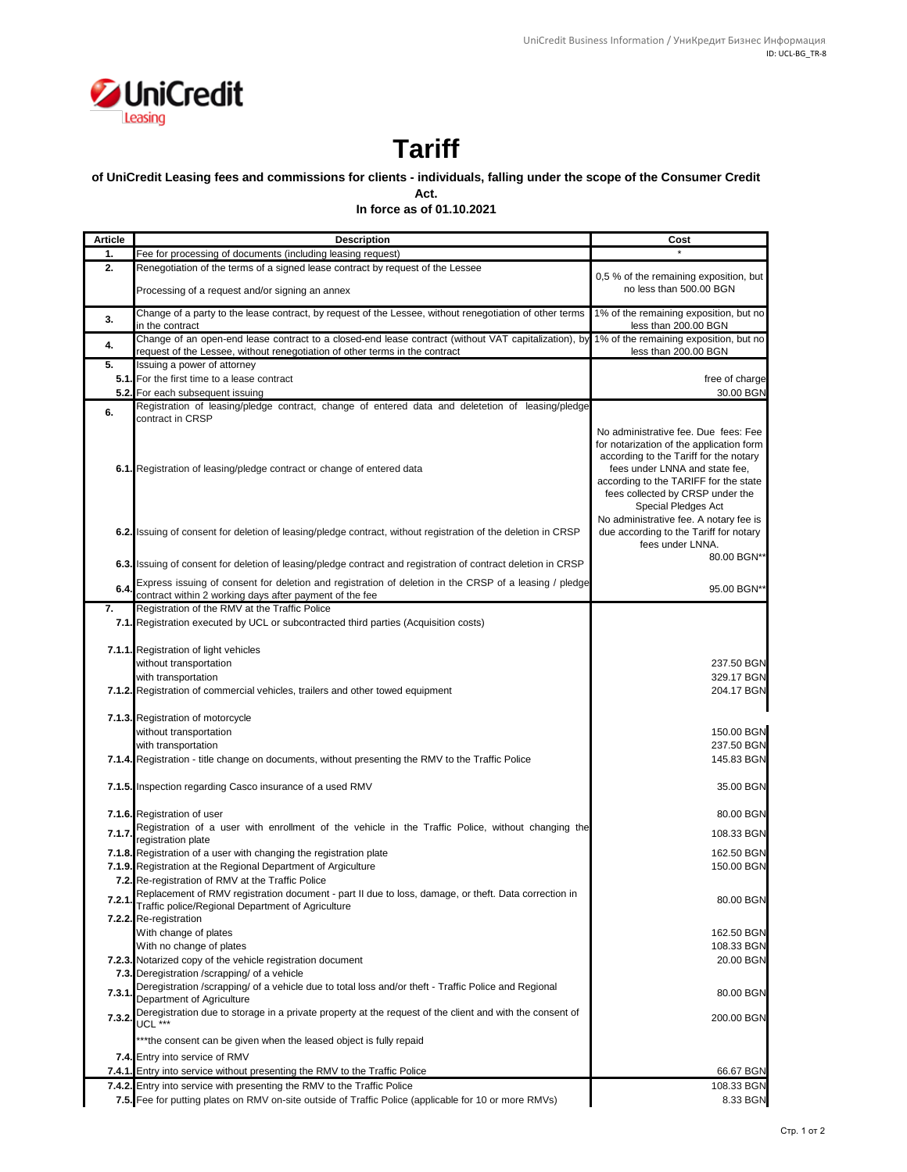

## **Tariff**

## **of UniCredit Leasing fees and commissions for clients - individuals, falling under the scope of the Consumer Credit**

**Act.**

**In force as of 01.10.2021**

| <b>Article</b> | <b>Description</b>                                                                                                                                                                                                         | Cost                                                                                                                                                                                                                                                                                                       |
|----------------|----------------------------------------------------------------------------------------------------------------------------------------------------------------------------------------------------------------------------|------------------------------------------------------------------------------------------------------------------------------------------------------------------------------------------------------------------------------------------------------------------------------------------------------------|
| 1.             | Fee for processing of documents (including leasing request)                                                                                                                                                                |                                                                                                                                                                                                                                                                                                            |
| 2.             | Renegotiation of the terms of a signed lease contract by request of the Lessee                                                                                                                                             |                                                                                                                                                                                                                                                                                                            |
|                | Processing of a request and/or signing an annex                                                                                                                                                                            | 0,5 % of the remaining exposition, but<br>no less than 500.00 BGN                                                                                                                                                                                                                                          |
| 3.             | Change of a party to the lease contract, by request of the Lessee, without renegotiation of other terms<br>in the contract                                                                                                 | 1% of the remaining exposition, but no<br>less than 200.00 BGN                                                                                                                                                                                                                                             |
| 4.             | Change of an open-end lease contract to a closed-end lease contract (without VAT capitalization), by 1% of the remaining exposition, but no<br>request of the Lessee, without renegotiation of other terms in the contract | less than 200.00 BGN                                                                                                                                                                                                                                                                                       |
| 5.             | Issuing a power of attorney                                                                                                                                                                                                |                                                                                                                                                                                                                                                                                                            |
|                | 5.1. For the first time to a lease contract                                                                                                                                                                                | free of charge                                                                                                                                                                                                                                                                                             |
|                | 5.2. For each subsequent issuing                                                                                                                                                                                           | 30.00 BGN                                                                                                                                                                                                                                                                                                  |
|                | Registration of leasing/pledge contract, change of entered data and deletetion of leasing/pledge                                                                                                                           |                                                                                                                                                                                                                                                                                                            |
| 6.             | contract in CRSP                                                                                                                                                                                                           |                                                                                                                                                                                                                                                                                                            |
|                | 6.1. Registration of leasing/pledge contract or change of entered data                                                                                                                                                     | No administrative fee. Due fees: Fee<br>for notarization of the application form<br>according to the Tariff for the notary<br>fees under LNNA and state fee,<br>according to the TARIFF for the state<br>fees collected by CRSP under the<br>Special Pledges Act<br>No administrative fee. A notary fee is |
|                | 6.2. Issuing of consent for deletion of leasing/pledge contract, without registration of the deletion in CRSP                                                                                                              | due according to the Tariff for notary<br>fees under LNNA.                                                                                                                                                                                                                                                 |
|                | 6.3. Issuing of consent for deletion of leasing/pledge contract and registration of contract deletion in CRSP                                                                                                              | 80.00 BGN**                                                                                                                                                                                                                                                                                                |
| 6.4            | Express issuing of consent for deletion and registration of deletion in the CRSP of a leasing / pledge<br>contract within 2 working days after payment of the fee                                                          | 95.00 BGN**                                                                                                                                                                                                                                                                                                |
| 7.             | Registration of the RMV at the Traffic Police                                                                                                                                                                              |                                                                                                                                                                                                                                                                                                            |
|                | 7.1. Registration executed by UCL or subcontracted third parties (Acquisition costs)                                                                                                                                       |                                                                                                                                                                                                                                                                                                            |
|                |                                                                                                                                                                                                                            |                                                                                                                                                                                                                                                                                                            |
|                | 7.1.1. Registration of light vehicles                                                                                                                                                                                      |                                                                                                                                                                                                                                                                                                            |
|                | without transportation                                                                                                                                                                                                     | 237.50 BGN                                                                                                                                                                                                                                                                                                 |
|                | with transportation                                                                                                                                                                                                        | 329.17 BGN                                                                                                                                                                                                                                                                                                 |
|                | 7.1.2. Registration of commercial vehicles, trailers and other towed equipment                                                                                                                                             | 204.17 BGN                                                                                                                                                                                                                                                                                                 |
|                | 7.1.3. Registration of motorcycle                                                                                                                                                                                          |                                                                                                                                                                                                                                                                                                            |
|                | without transportation                                                                                                                                                                                                     | 150.00 BGN                                                                                                                                                                                                                                                                                                 |
|                | with transportation                                                                                                                                                                                                        | 237.50 BGN                                                                                                                                                                                                                                                                                                 |
|                | 7.1.4. Registration - title change on documents, without presenting the RMV to the Traffic Police                                                                                                                          | 145.83 BGN                                                                                                                                                                                                                                                                                                 |
|                |                                                                                                                                                                                                                            |                                                                                                                                                                                                                                                                                                            |
|                | 7.1.5. Inspection regarding Casco insurance of a used RMV                                                                                                                                                                  | 35.00 BGN                                                                                                                                                                                                                                                                                                  |
|                | 7.1.6. Registration of user                                                                                                                                                                                                | 80.00 BGN                                                                                                                                                                                                                                                                                                  |
| 7.1.7.         | Registration of a user with enrollment of the vehicle in the Traffic Police, without changing the                                                                                                                          | 108.33 BGN                                                                                                                                                                                                                                                                                                 |
|                | registration plate                                                                                                                                                                                                         |                                                                                                                                                                                                                                                                                                            |
|                | 7.1.8. Registration of a user with changing the registration plate                                                                                                                                                         | 162.50 BGN                                                                                                                                                                                                                                                                                                 |
|                | 7.1.9. Registration at the Regional Department of Argiculture                                                                                                                                                              | 150.00 BGN                                                                                                                                                                                                                                                                                                 |
|                | 7.2. Re-registration of RMV at the Traffic Police                                                                                                                                                                          |                                                                                                                                                                                                                                                                                                            |
|                | Replacement of RMV registration document - part II due to loss, damage, or theft. Data correction in<br>Traffic police/Regional Department of Agriculture                                                                  | 80.00 BGN                                                                                                                                                                                                                                                                                                  |
|                | 7.2.2. Re-registration                                                                                                                                                                                                     |                                                                                                                                                                                                                                                                                                            |
|                | With change of plates                                                                                                                                                                                                      | 162.50 BGN                                                                                                                                                                                                                                                                                                 |
|                | With no change of plates                                                                                                                                                                                                   | 108.33 BGN                                                                                                                                                                                                                                                                                                 |
|                | 7.2.3. Notarized copy of the vehicle registration document                                                                                                                                                                 | 20.00 BGN                                                                                                                                                                                                                                                                                                  |
|                | 7.3. Deregistration /scrapping/ of a vehicle                                                                                                                                                                               |                                                                                                                                                                                                                                                                                                            |
| 7.3.1          | Deregistration /scrapping/ of a vehicle due to total loss and/or theft - Traffic Police and Regional<br>Department of Agriculture                                                                                          | 80.00 BGN                                                                                                                                                                                                                                                                                                  |
| 7.3.2.         | Deregistration due to storage in a private property at the request of the client and with the consent of<br>UCL ***                                                                                                        | 200.00 BGN                                                                                                                                                                                                                                                                                                 |
|                |                                                                                                                                                                                                                            |                                                                                                                                                                                                                                                                                                            |
|                | *** the consent can be given when the leased object is fully repaid                                                                                                                                                        |                                                                                                                                                                                                                                                                                                            |
|                | 7.4. Entry into service of RMV                                                                                                                                                                                             |                                                                                                                                                                                                                                                                                                            |
|                | 7.4.1. Entry into service without presenting the RMV to the Traffic Police                                                                                                                                                 | 66.67 BGN                                                                                                                                                                                                                                                                                                  |
|                | 7.4.2. Entry into service with presenting the RMV to the Traffic Police                                                                                                                                                    | 108.33 BGN                                                                                                                                                                                                                                                                                                 |
|                | 7.5. Fee for putting plates on RMV on-site outside of Traffic Police (applicable for 10 or more RMVs)                                                                                                                      | 8.33 BGN                                                                                                                                                                                                                                                                                                   |